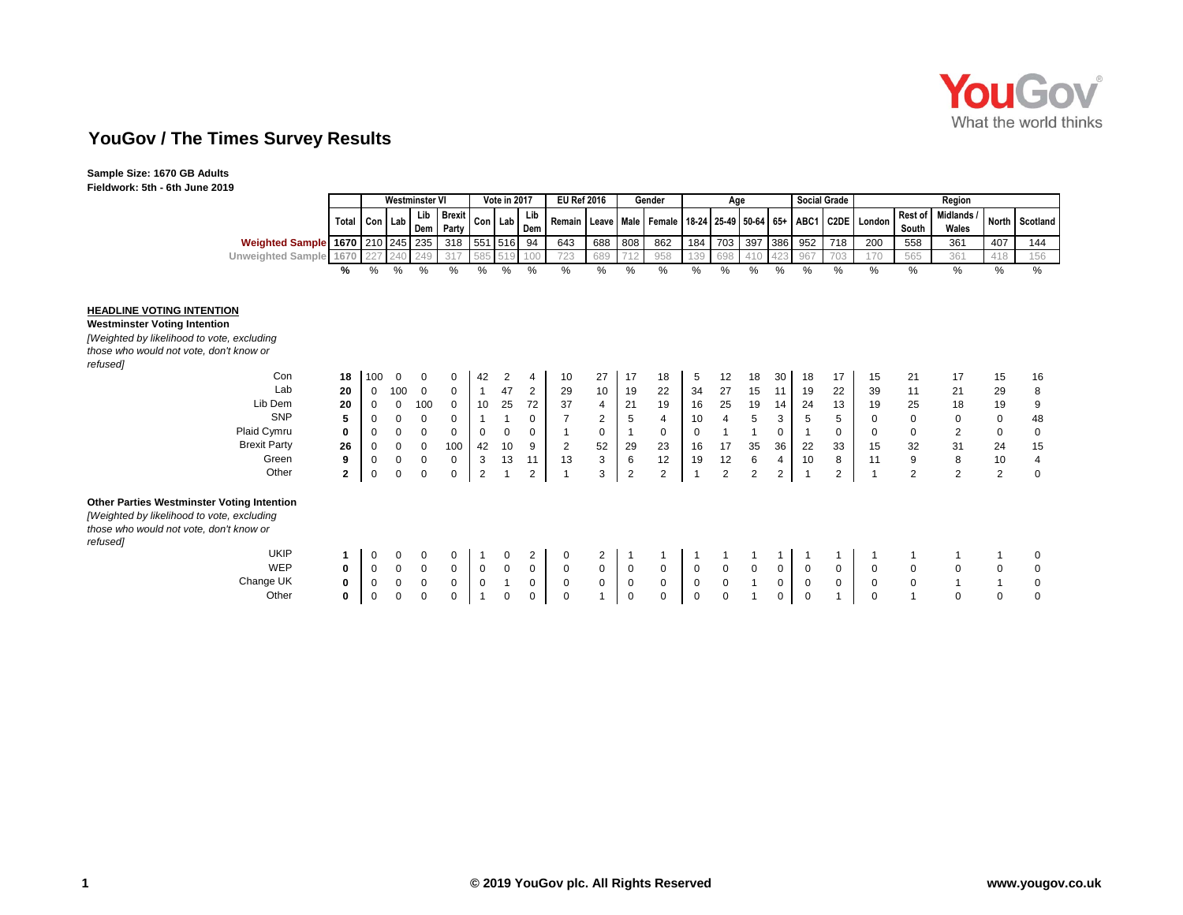

# **YouGov / The Times Survey Results**

**Sample Size: 1670 GB Adults Fieldwork: 5th - 6th June 2019**

| ----                                   |                           |      |                       |                   |             |              |                   |                       |     |     |                                               |     |              |     |     |                     |     |               |       |                             |              |          |
|----------------------------------------|---------------------------|------|-----------------------|-------------------|-------------|--------------|-------------------|-----------------------|-----|-----|-----------------------------------------------|-----|--------------|-----|-----|---------------------|-----|---------------|-------|-----------------------------|--------------|----------|
|                                        |                           |      | <b>Westminster VI</b> |                   |             | Vote in 2017 |                   | <b>EU Ref 2016</b>    |     |     | Gender                                        |     | Age          |     |     | <b>Social Grade</b> |     |               |       | Reaion                      |              |          |
|                                        | I Total Con Lab Dem   ru. |      | Lib                   | I Brexit<br>Party | Con I Lab I |              | Lib<br><b>Dem</b> | Remain   Leave   Male |     |     | I Female I 18-24   25-49   50-64   65+   ABC1 |     |              |     |     |                     |     | C2DE London I | South | Rest of Midlands /<br>Wales | <b>North</b> | Scotland |
| Weighted Sample 1670   210   245   235 |                           |      |                       | 318               | 551 516     |              | 94                | 643                   | 688 | 808 | 862                                           | 184 | 703          | 397 | 386 | 952                 | 718 | 200           | 558   | 361                         | 407          | 144      |
| Unweighted Sample                      |                           |      |                       | 217               | $585 \, 5$  |              |                   | 723                   | 689 |     | 958                                           |     | 698          |     |     | Q67                 | 700 |               | 565   | 361                         | 140          | 156      |
|                                        |                           | $\%$ | 0/2                   | $\Omega$          |             | ℅            | $\%$              | %                     | %   |     |                                               |     | $\mathbf{a}$ | ℅   |     | %                   | 07  | $\Omega$      |       | %                           | $\Omega$     | $\%$     |

#### **HEADLINE VOTING INTENTION**

**Westminster Voting Intention** *[Weighted by likelihood to vote, excluding those who would not vote, don't know or refused]*

|             |                                                                             | $\Omega$       |                    | $\Omega$           | 42            |                      |          | 10             | 27               | 17                                 | 18                         | 5                | 12               | 18                | 30             | 18     | 17     | 15     | 21             | 17                         | 15          | 16          |
|-------------|-----------------------------------------------------------------------------|----------------|--------------------|--------------------|---------------|----------------------|----------|----------------|------------------|------------------------------------|----------------------------|------------------|------------------|-------------------|----------------|--------|--------|--------|----------------|----------------------------|-------------|-------------|
| 20          |                                                                             |                | $\mathbf 0$        | $\Omega$           |               | 47                   | 2        | 29             | 10               | 19                                 | 22                         | 34               | 27               | 15                | 11             | 19     | 22     | 39     | 11             | 21                         | 29          | 8           |
|             |                                                                             | 0              | 100                | -0                 | 10            | 25                   | 72       | 37             | 4                | 21                                 | 19                         | 16               | 25               | 19                | 14             | 24     | 13     | 19     | 25             | 18                         | 19          | 9           |
| 5           |                                                                             | 0              | $\Omega$           | $\Omega$           |               |                      | 0        |                | 2                | 5                                  | 4                          | 10               | 4                | 5                 | 3              | 5      | 5      |        | $\mathbf 0$    | 0                          | $\mathbf 0$ | 48          |
| $\mathbf 0$ |                                                                             | 0              | $\Omega$           | $\Omega$           | $\Omega$      | $\Omega$             | $\Omega$ |                | 0                |                                    | 0                          | $\Omega$         |                  |                   | 0              |        | 0      |        | $\mathbf 0$    | $\overline{2}$             | $\Omega$    | 0           |
|             |                                                                             | 0              | 0                  | 100                | 42            | 10                   | 9        | $\overline{2}$ | 52               | 29                                 | 23                         | 16               | 17               | 35                | 36             | 22     | 33     | 15     | 32             | 31                         | 24          | 15          |
| 9           |                                                                             | 0              |                    | 0                  | 3             | 13                   | 11       | 13             | 3                | 6                                  | 12                         | 19               | 12               | 6                 | 4              | 10     | 8      | 11     | 9              | 8                          | 10          | 4           |
|             |                                                                             | 0              | 0                  | 0                  | 2             |                      | 2        |                | 3                | $\overline{2}$                     | 2                          | -1               | $\overline{2}$   | 2                 | $\overline{2}$ |        | 2      |        | $\overline{2}$ | $\overline{2}$             | 2           | $\mathbf 0$ |
|             |                                                                             |                |                    |                    |               |                      |          |                |                  |                                    |                            |                  |                  |                   |                |        |        |        |                |                            |             |             |
|             |                                                                             |                |                    |                    |               |                      |          |                |                  |                                    |                            |                  |                  |                   |                |        |        |        |                |                            |             | 0           |
|             |                                                                             |                |                    |                    |               |                      |          |                |                  |                                    |                            |                  |                  |                   |                |        |        |        |                |                            |             |             |
|             |                                                                             |                |                    |                    |               |                      |          |                |                  |                                    |                            |                  |                  |                   |                |        |        |        |                |                            |             | 0           |
|             |                                                                             |                |                    |                    |               |                      |          |                |                  |                                    |                            |                  |                  |                   |                |        |        |        |                |                            |             | 0           |
| 0           |                                                                             | 0              | 0                  | 0                  |               | 0                    | 0        |                |                  | 0                                  | 0                          | 0                | $\mathbf 0$      |                   | $\overline{0}$ | 0      |        |        |                | 0                          | 0           | 0           |
|             | $\mathbf{2}$<br><b>Other Parties Westminster Voting Intention</b><br>0<br>0 | 18<br>20<br>26 | 100<br>0<br>0<br>0 | 100<br>0<br>0<br>0 | $\Omega$<br>0 | $\Omega$<br>$\Omega$ |          | 0<br>0         | $\mathbf 0$<br>0 | $\overline{2}$<br>$\mathbf 0$<br>0 | $\mathbf 0$<br>$\mathbf 0$ | $\mathbf 0$<br>0 | 0<br>$\mathbf 0$ | $\mathbf{0}$<br>0 | 0              | 0<br>0 | 0<br>0 | 0<br>0 | 0              | $\mathbf 0$<br>$\mathbf 0$ | 0           | 0           |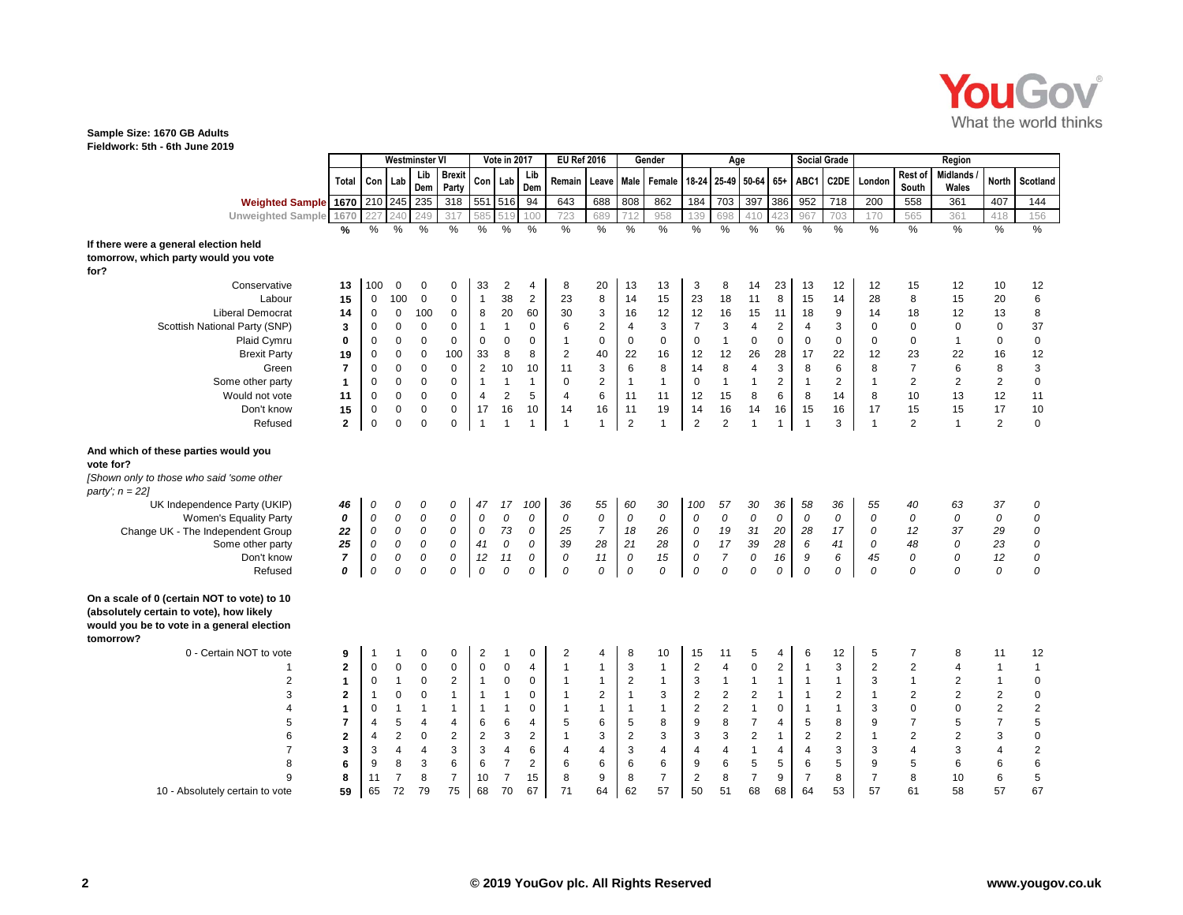

### **Sample Size: 1670 GB Adults**

**Fieldwork: 5th - 6th June 2019**

|                                                                                                                                       |                         |                |                |                         | <b>Westminster VI</b>  |                | Vote in 2017            |                         |                | <b>EU Ref 2016</b> |                           | Gender                    |                    | Age                 |                         |                |                | <b>Social Grade</b> |                |                         | Region                          |                |                         |
|---------------------------------------------------------------------------------------------------------------------------------------|-------------------------|----------------|----------------|-------------------------|------------------------|----------------|-------------------------|-------------------------|----------------|--------------------|---------------------------|---------------------------|--------------------|---------------------|-------------------------|----------------|----------------|---------------------|----------------|-------------------------|---------------------------------|----------------|-------------------------|
|                                                                                                                                       | <b>Total</b>            |                | Con   Lab      | Lib<br>Dem              | <b>Brexit</b><br>Party | Con            | Lab                     | Lib<br>Dem              | Remain         | Leave              |                           | Male Female               | 18-24              | 25-49 50-64         |                         | $65+$          | ABC1           | C <sub>2</sub> DE   | London         | Rest of<br>South        | <b>Midlands</b><br><b>Wales</b> | <b>North</b>   | Scotland                |
| <b>Weighted Sample 1670</b>                                                                                                           |                         |                | 210 245        | 235                     | 318                    |                | 551 516                 | 94                      | 643            | 688                | 808                       | 862                       | 184                | 703                 | 397                     | 386            | 952            | 718                 | 200            | 558                     | 361                             | 407            | 144                     |
| Unweighted Sample 1670                                                                                                                |                         | 227            | 240            | 249                     | 317                    | 585            | 519                     | 100                     | 723            | 689                | 712                       | 958                       | 139                | 698                 | 41C                     | 42.            | 967            | 703                 | 170            | 565                     | 361                             | 418            | 156                     |
|                                                                                                                                       | %                       | $\frac{9}{6}$  | $\frac{9}{6}$  | $\frac{0}{0}$           | $\frac{0}{0}$          | $\frac{9}{6}$  | $\frac{0}{0}$           | $\frac{0}{0}$           | $\frac{9}{6}$  | $\frac{9}{6}$      | $\frac{9}{6}$             | $\frac{9}{6}$             | $\frac{0}{6}$      | $\frac{9}{6}$       | $\frac{0}{6}$           | $\frac{0}{6}$  | $\frac{9}{6}$  | $\frac{9}{6}$       | $\frac{9}{6}$  | $\frac{0}{6}$           | $\frac{9}{6}$                   | $\%$           | $\frac{0}{0}$           |
| If there were a general election held                                                                                                 |                         |                |                |                         |                        |                |                         |                         |                |                    |                           |                           |                    |                     |                         |                |                |                     |                |                         |                                 |                |                         |
| tomorrow, which party would you vote<br>for?                                                                                          |                         |                |                |                         |                        |                |                         |                         |                |                    |                           |                           |                    |                     |                         |                |                |                     |                |                         |                                 |                |                         |
| Conservative                                                                                                                          | 13                      | 100            | $\mathbf 0$    | $\Omega$                | $\mathbf 0$            | 33             | $\overline{c}$          | 4                       | 8              | 20                 | 13                        | 13                        | 3                  | 8                   | 14                      | 23             | 13             | 12                  | 12             | 15                      | 12                              | 10             | 12                      |
| Labour                                                                                                                                | 15                      | 0              | 100            | $\mathbf 0$             | $\mathbf 0$            | $\mathbf{1}$   | 38                      | $\mathbf 2$             | 23             | 8                  | 14                        | 15                        | 23                 | 18                  | 11                      | 8              | 15             | 14                  | 28             | 8                       | 15                              | 20             | 6                       |
| <b>Liberal Democrat</b>                                                                                                               | 14                      | 0              | $\mathbf 0$    | 100                     | $\mathbf 0$            | 8              | 20                      | 60                      | 30             | 3                  | 16                        | 12                        | 12                 | 16                  | 15                      | 11             | 18             | $\boldsymbol{9}$    | 14             | 18                      | 12                              | 13             | 8                       |
| Scottish National Party (SNP)                                                                                                         | 3                       | $\mathbf 0$    | $\mathbf 0$    | $\mathbf 0$             | $\mathbf 0$            | $\overline{1}$ | $\mathbf{1}$            | $\pmb{0}$               | 6              | $\boldsymbol{2}$   | 4                         | $\ensuremath{\mathsf{3}}$ | $\overline{7}$     | 3                   | $\overline{\mathbf{4}}$ | $\mathbf 2$    | 4              | 3                   | $\Omega$       | $\mathbf 0$             | $\mathbf 0$                     | $\mathbf 0$    | 37                      |
| Plaid Cymru                                                                                                                           | 0                       | 0              | $\mathbf 0$    | $\mathbf 0$             | $\mathbf 0$            | $\mathbf 0$    | 0                       | $\mathbf 0$             | $\mathbf{1}$   | $\mathbf 0$        | 0                         | $\mathbf 0$               | $\mathbf 0$        | $\mathbf{1}$        | $\mathbf 0$             | $\mathbf 0$    | 0              | $\mathbf 0$         | 0              | 0                       | $\mathbf{1}$                    | $\mathbf 0$    | $\pmb{0}$               |
| <b>Brexit Party</b>                                                                                                                   | 19                      | 0              | $\mathbf 0$    | $\mathbf 0$             | 100                    | 33             | 8                       | 8                       | $\overline{2}$ | 40                 | 22                        | 16                        | 12                 | 12                  | 26                      | 28             | 17             | 22                  | 12             | 23                      | 22                              | 16             | 12                      |
| Green                                                                                                                                 | $\overline{7}$          | 0              | $\mathbf 0$    | $\Omega$                | $\Omega$               | $\overline{2}$ | 10                      | 10                      | 11             | 3                  | $\,6\,$                   | 8                         | 14                 | 8                   | $\overline{4}$          | 3              | 8              | 6                   | 8              | $\overline{7}$          | 6                               | 8              | $\mathsf 3$             |
| Some other party                                                                                                                      | $\mathbf{1}$            | 0              | $\mathbf 0$    | $\mathbf 0$             | $\Omega$               | $\mathbf{1}$   | $\mathbf{1}$            | $\mathbf{1}$            | 0              | $\boldsymbol{2}$   | $\mathbf{1}$              | $\mathbf{1}$              | $\mathbf 0$        | $\mathbf{1}$        | $\mathbf{1}$            | $\sqrt{2}$     | $\overline{1}$ | 2                   | $\mathbf{1}$   | $\overline{\mathbf{c}}$ | $\overline{2}$                  | 2              | $\pmb{0}$               |
| Would not vote                                                                                                                        | 11                      | 0              | $\mathsf 0$    | $\pmb{0}$               | $\mathbf 0$            | $\overline{4}$ | $\overline{\mathbf{c}}$ | 5                       | $\overline{4}$ | 6                  | 11                        | 11                        | 12                 | 15                  | $\bf 8$                 | $\,6\,$        | 8              | 14                  | 8              | 10                      | 13                              | 12             | 11                      |
| Don't know                                                                                                                            | 15                      | $\mathbf 0$    | $\mathbf 0$    | $\mathbf 0$             | $\mathbf 0$            | 17             | 16                      | 10                      | 14             | 16                 | 11                        | 19                        | 14                 | 16                  | 14                      | 16             | 15             | 16                  | 17             | 15                      | 15                              | 17             | 10                      |
| Refused                                                                                                                               | $\mathbf{2}$            | $\mathsf 0$    | $\overline{0}$ | $\Omega$                | $\mathbf 0$            | $\mathbf{1}$   | $\overline{1}$          | 1                       | $\mathbf{1}$   | $\mathbf{1}$       | $\overline{2}$            | $\mathbf{1}$              | $\overline{2}$     | 2                   | $\mathbf{1}$            | $\mathbf{1}$   | $\overline{1}$ | 3                   | $\mathbf{1}$   | 2                       | $\mathbf{1}$                    | $\overline{2}$ | $\mathbf{0}$            |
| And which of these parties would you<br>vote for?                                                                                     |                         |                |                |                         |                        |                |                         |                         |                |                    |                           |                           |                    |                     |                         |                |                |                     |                |                         |                                 |                |                         |
| [Shown only to those who said 'some other<br>party'; $n = 22$ ]                                                                       |                         |                |                |                         |                        |                |                         |                         |                |                    |                           |                           |                    |                     |                         |                |                |                     |                |                         |                                 |                |                         |
| UK Independence Party (UKIP)                                                                                                          | 46                      | 0              | 0              | 0                       | 0                      | 47             | 17                      | 100                     | 36             | 55                 | 60                        | 30                        | 100                | 57                  | 30                      | 36             | 58             | 36                  | 55             | 40                      | 63                              | 37             | ${\cal O}$              |
| Women's Equality Party                                                                                                                | 0                       | 0              | ${\cal O}$     | ${\cal O}$              | 0                      | 0              | ${\cal O}$              | 0                       | $\overline{O}$ | ${\cal O}$         | 0                         | $\overline{O}$            | ${\cal O}$         | 0                   | ${\cal O}$              | ${\cal O}$     | 0              | ${\cal O}$          | $\mathcal{O}$  | 0                       | 0                               | ${\cal O}$     | ${\cal O}$              |
| Change UK - The Independent Group                                                                                                     | 22                      | ${\cal O}$     | ${\cal O}$     | ${\cal O}$              | 0                      | 0              | 73                      | 0                       | 25             | $\overline{7}$     | 18                        | 26                        | 0                  | 19                  | 31                      | 20             | 28             | 17                  | 0              | 12                      | 37                              | 29             | ${\cal O}$              |
| Some other party                                                                                                                      | 25                      | 0              | ${\cal O}$     | ${\cal O}$              | 0                      | 41             | 0                       | 0                       | 39             | 28                 | 21                        | 28                        | 0                  | 17                  | 39                      | 28             | 6              | 41                  | 0              | 48                      | 0                               | 23             | 0                       |
| Don't know<br>Refused                                                                                                                 | $\overline{7}$<br>0     | 0<br>0         | 0<br>0         | 0<br>0                  | 0<br>0                 | 12<br>0        | 11<br>0                 | 0<br>0                  | 0<br>0         | 11<br>0            | 0<br>0                    | 15<br>0                   | 0<br>$\mathcal{O}$ | $\overline{7}$<br>0 | 0<br>0                  | 16<br>0        | 9<br>0         | 6<br>0              | 45<br>0        | 0<br>0                  | 0<br>0                          | 12<br>0        | ${\cal O}$<br>0         |
|                                                                                                                                       |                         |                |                |                         |                        |                |                         |                         |                |                    |                           |                           |                    |                     |                         |                |                |                     |                |                         |                                 |                |                         |
| On a scale of 0 (certain NOT to vote) to 10<br>(absolutely certain to vote), how likely<br>would you be to vote in a general election |                         |                |                |                         |                        |                |                         |                         |                |                    |                           |                           |                    |                     |                         |                |                |                     |                |                         |                                 |                |                         |
| tomorrow?                                                                                                                             |                         |                |                |                         |                        |                |                         |                         |                |                    |                           |                           |                    |                     |                         |                |                |                     |                |                         |                                 |                |                         |
| 0 - Certain NOT to vote                                                                                                               | 9                       | 1              | -1             | $\Omega$                | 0                      | $\overline{2}$ | 1                       | 0                       | 2              | 4                  | 8                         | 10                        | 15                 | 11                  | 5                       | 4              | 6              | 12                  | 5              | $\overline{7}$          | 8                               | 11             | 12                      |
| -1                                                                                                                                    | $\mathbf{2}$            | 0              | $\mathbf 0$    | $\mathbf 0$             | $\mathbf 0$            | $\mathbf 0$    | 0                       | 4                       | $\mathbf{1}$   | $\mathbf{1}$       | 3                         | $\mathbf{1}$              | $\overline{c}$     | $\overline{4}$      | $\pmb{0}$               | $\overline{c}$ | $\overline{1}$ | $\mathbf{3}$        | $\overline{2}$ | $\overline{2}$          | 4                               | $\mathbf{1}$   | $\mathbf{1}$            |
| $\boldsymbol{2}$                                                                                                                      | $\mathbf{1}$            | $\mathbf 0$    | $\mathbf{1}$   | $\mathbf 0$             | $\overline{2}$         | $\overline{1}$ | 0                       | $\mathbf 0$             | $\mathbf{1}$   | $\mathbf{1}$       | $\boldsymbol{2}$          | $\mathbf{1}$              | $\mathsf 3$        | $\mathbf{1}$        | $\mathbf{1}$            | $\mathbf{1}$   | $\overline{1}$ | $\mathbf{1}$        | 3              | $\mathbf{1}$            | $\overline{c}$                  | $\mathbf{1}$   | $\pmb{0}$               |
| 3                                                                                                                                     | $\overline{2}$          | $\overline{1}$ | $\mathsf 0$    | $\mathbf 0$             | $\mathbf{1}$           | $\mathbf{1}$   | $\mathbf{1}$            | $\mathbf 0$             | $\mathbf{1}$   | $\overline{c}$     | $\mathbf{1}$              | $\mathsf 3$               | $\sqrt{2}$         | $\overline{2}$      | $\overline{c}$          | $\mathbf{1}$   | $\overline{1}$ | $\overline{2}$      | $\mathbf{1}$   | $\overline{2}$          | $\overline{2}$                  | $\sqrt{2}$     | $\pmb{0}$               |
| $\overline{4}$                                                                                                                        | 1                       | 0              | $\mathbf{1}$   | $\mathbf{1}$            | $\mathbf{1}$           | $\mathbf{1}$   | $\mathbf{1}$            | 0                       | $\mathbf{1}$   | $\mathbf{1}$       | $\mathbf{1}$              | $\mathbf{1}$              | $\mathbf 2$        | $\overline{2}$      | $\mathbf{1}$            | $\mathbf 0$    | $\overline{1}$ | $\mathbf{1}$        | $\mathbf{3}$   | $\mathbf 0$             | $\Omega$                        | $\sqrt{2}$     | $\overline{c}$          |
| 5                                                                                                                                     | $\overline{\mathbf{r}}$ | 4              | 5              | $\overline{\mathbf{4}}$ | 4                      | 6              | 6                       | 4                       | 5              | 6                  | $\mathbf 5$               | 8                         | $\boldsymbol{9}$   | $\bf 8$             | $\overline{\mathbf{7}}$ | $\overline{4}$ | $\sqrt{5}$     | 8                   | 9              | $\boldsymbol{7}$        | 5                               | $\overline{7}$ | $\overline{5}$          |
| 6                                                                                                                                     | $\mathbf 2$             | $\overline{4}$ | $\overline{2}$ | $\mathbf 0$             | $\overline{2}$         | $\overline{2}$ | 3                       | $\overline{\mathbf{c}}$ | $\mathbf{1}$   | 3                  | $\sqrt{2}$                | 3                         | 3                  | 3                   | $\overline{2}$          | $\mathbf{1}$   | $\overline{c}$ | 2                   | $\mathbf{1}$   | $\overline{2}$          | $\overline{2}$                  | $\mathsf 3$    | $\mathsf{O}\xspace$     |
| $\overline{7}$                                                                                                                        | $\overline{\mathbf{3}}$ | 3              | $\overline{4}$ | 4                       | 3                      | 3              | $\overline{4}$          | 6                       | 4              | 4                  | $\ensuremath{\mathsf{3}}$ | $\overline{4}$            | $\overline{4}$     | $\overline{4}$      | $\mathbf{1}$            | $\overline{4}$ | 4              | 3                   | 3              | $\overline{4}$          | 3                               | $\overline{4}$ | $\overline{\mathbf{c}}$ |
| 8                                                                                                                                     | 6                       | 9              | 8              | $\sqrt{3}$              | 6                      | 6              | $\overline{7}$          | 2                       | 6              | 6                  | $\,6$                     | 6                         | $\boldsymbol{9}$   | 6                   | $\sqrt{5}$              | $\overline{5}$ | 6              | 5                   | 9              | 5                       | 6                               | 6              | 6                       |
| 9                                                                                                                                     | 8                       | 11             | $\overline{7}$ | 8                       | $\overline{7}$         | 10             | $\overline{7}$          | 15                      | 8              | 9                  | $\bf 8$                   | $\overline{7}$            | $\sqrt{2}$         | 8                   | $\overline{7}$          | 9              | $\overline{7}$ | 8                   | $\overline{7}$ | 8                       | 10                              | 6              | 5                       |
| 10 - Absolutely certain to vote                                                                                                       | 59                      | 65             | 72             | 79                      | 75                     | 68             | 70                      | 67                      | 71             | 64                 | 62                        | 57                        | 50                 | 51                  | 68                      | 68             | 64             | 53                  | 57             | 61                      | 58                              | 57             | 67                      |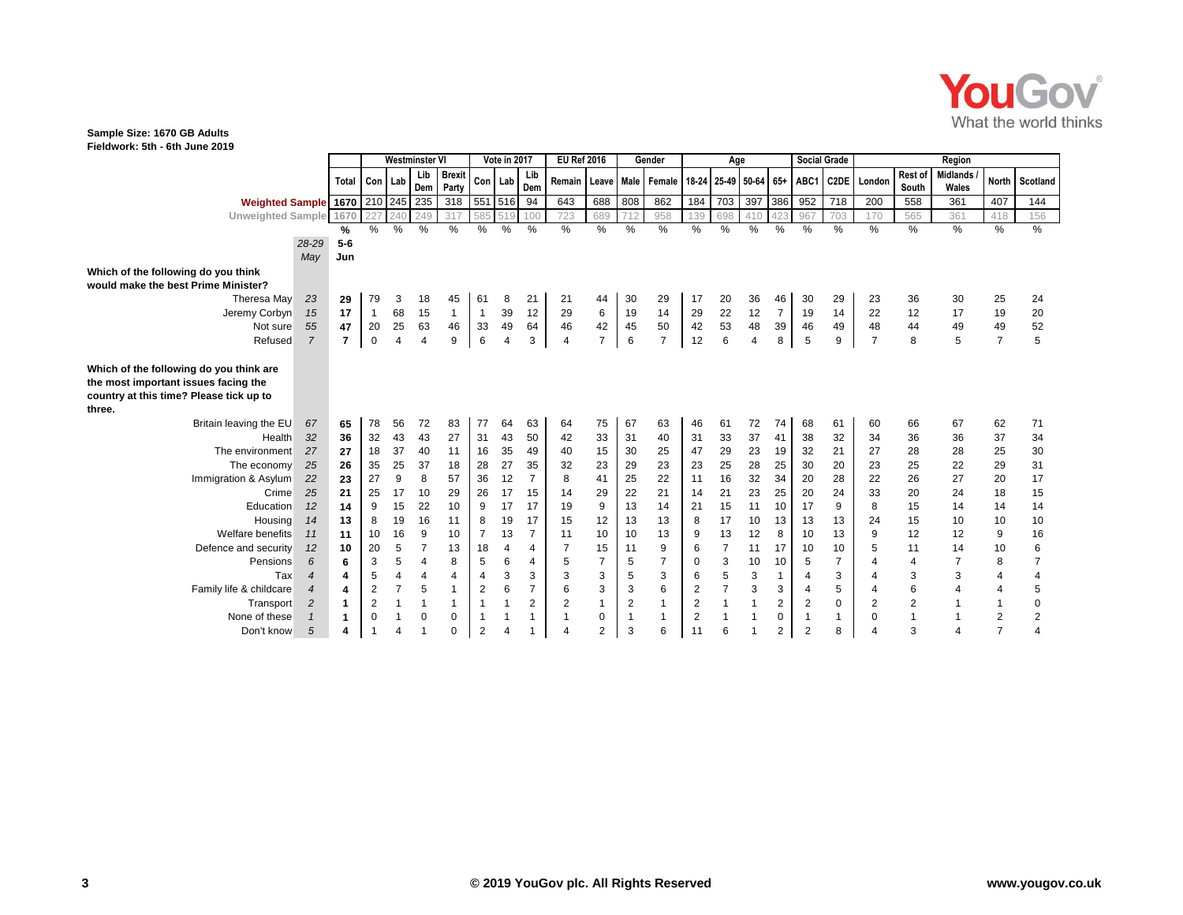

## **Sample Size: 1670 GB Adults**

**Fieldwork: 5th - 6th June 2019**

|                                                                                                                                      |                  |                | <b>Westminster VI</b> |                |                |                        | Vote in 2017   |                | <b>EU Ref 2016</b>   |                | Gender         |              | Age            |                         |                |                 |                         | <b>Social Grade</b>     |                   | Region         |                  |                   |                |                  |
|--------------------------------------------------------------------------------------------------------------------------------------|------------------|----------------|-----------------------|----------------|----------------|------------------------|----------------|----------------|----------------------|----------------|----------------|--------------|----------------|-------------------------|----------------|-----------------|-------------------------|-------------------------|-------------------|----------------|------------------|-------------------|----------------|------------------|
|                                                                                                                                      |                  | <b>Total</b>   | Con                   | Lab            | Lib<br>Dem     | <b>Brexit</b><br>Party | Con            | Lab            | Lib<br>Dem           | Remain         | Leave          | Male         | Female         | 18-24                   |                | 25-49 50-64 65+ |                         | ABC1                    | C <sub>2</sub> DE | London         | Rest of<br>South | Midlands<br>Wales | <b>North</b>   | Scotland         |
| Weighted Sample 1670 210 245                                                                                                         |                  |                |                       |                | 235            | 318                    |                | 551 516        | 94                   | 643            | 688            | 808          | 862            | 184                     | 703            | 397             | 386                     | 952                     | 718               | 200            | 558              | 361               | 407            | 144              |
| Unweighted Sample 1670                                                                                                               |                  |                | 227                   | 240            | 249            | 317                    | 585            | 51             | 100                  | 723            | 689            | 712          | 958            | 139                     | 698            | 410             | 423                     | 967                     | 703               | 170            | 565              | 361               | 418            | 156              |
|                                                                                                                                      |                  | %              | %                     | %              | %              | %                      | %              | %              | $\%$                 | $\%$           | $\%$           | %            | $\%$           | %                       | %              | %               | %                       | %                       | %                 | %              | %                | $\%$              | %              | $\%$             |
|                                                                                                                                      | 28-29            | $5-6$          |                       |                |                |                        |                |                |                      |                |                |              |                |                         |                |                 |                         |                         |                   |                |                  |                   |                |                  |
|                                                                                                                                      | May              | Jun            |                       |                |                |                        |                |                |                      |                |                |              |                |                         |                |                 |                         |                         |                   |                |                  |                   |                |                  |
| Which of the following do you think                                                                                                  |                  |                |                       |                |                |                        |                |                |                      |                |                |              |                |                         |                |                 |                         |                         |                   |                |                  |                   |                |                  |
| would make the best Prime Minister?                                                                                                  |                  |                |                       |                |                |                        |                |                |                      |                |                |              |                |                         |                |                 |                         |                         |                   |                |                  |                   |                |                  |
| Theresa May                                                                                                                          | 23               | 29             | 79                    | 3              | 18             | 45                     | 61             | 8              | 21                   | 21             | 44             | 30           | 29             | 17                      | 20             | 36              | 46                      | 30                      | 29                | 23             | 36               | 30                | 25             | 24               |
| Jeremy Corbyn                                                                                                                        | 15               | 17             | $\mathbf{1}$          | 68             | 15             | $\mathbf{1}$           | $\overline{1}$ | 39             | 12                   | 29             | 6              | 19           | 14             | 29                      | 22             | 12              | $\overline{7}$          | 19                      | 14                | 22             | 12               | 17                | 19             | 20               |
| Not sure                                                                                                                             | 55               | 47             | 20                    | 25             | 63             | 46                     | 33             | 49             | 64                   | 46             | 42             | 45           | 50             | 42                      | 53             | 48              | 39                      | 46                      | 49                | 48             | 44               | 49                | 49             | 52               |
| Refused                                                                                                                              | 7                | $\overline{7}$ | $\mathbf 0$           | $\overline{4}$ | $\overline{4}$ | 9                      | 6              | $\overline{4}$ | 3                    | 4              | $\overline{7}$ | 6            | $\overline{7}$ | 12                      | 6              | $\overline{4}$  | 8                       | 5                       | 9                 | $\overline{7}$ | 8                | 5                 | $\overline{7}$ | 5                |
| Which of the following do you think are<br>the most important issues facing the<br>country at this time? Please tick up to<br>three. |                  |                |                       |                |                |                        |                |                |                      |                |                |              |                |                         |                |                 |                         |                         |                   |                |                  |                   |                |                  |
| Britain leaving the EU                                                                                                               | 67               | 65             | 78                    | 56             | 72             | 83                     | 77             | 64             | 63                   | 64             | 75             | 67           | 63             | 46                      | 61             | 72              | 74                      | 68                      | 61                | 60             | 66               | 67                | 62             | 71               |
| Health                                                                                                                               | 32               | 36             | 32                    | 43             | 43             | 27                     | 31             | 43             | 50                   | 42             | 33             | 31           | 40             | 31                      | 33             | 37              | 41                      | 38                      | 32                | 34             | 36               | 36                | 37             | 34               |
| The environment                                                                                                                      | 27               | 27             | 18                    | 37             | 40             | 11                     | 16             | 35             | 49                   | 40             | 15             | 30           | 25             | 47                      | 29             | 23              | 19                      | 32                      | 21                | 27             | 28               | 28                | 25             | 30               |
| The economy                                                                                                                          | 25               | 26             | 35                    | 25             | 37             | 18                     | 28             | 27             | 35<br>$\overline{7}$ | 32             | 23             | 29           | 23             | 23                      | 25             | 28              | 25                      | 30                      | 20                | 23<br>22       | 25               | 22                | 29             | 31               |
| Immigration & Asylum                                                                                                                 | 22<br>25         | 23<br>21       | 27<br>25              | 9<br>17        | 8<br>10        | 57<br>29               | 36<br>26       | 12<br>17       |                      | 8              | 41<br>29       | 25<br>22     | 22<br>21       | 11<br>14                | 16<br>21       | 32<br>23        | 34<br>25                | 20<br>20                | 28<br>24          | 33             | 26<br>20         | 27<br>24          | 20             | 17               |
| Crime<br>Education                                                                                                                   | 12               | 14             | 9                     | 15             | 22             | 10                     | 9              | 17             | 15<br>17             | 14<br>19       | 9              | 13           | 14             | 21                      | 15             | 11              | 10                      | 17                      | 9                 | 8              | 15               | 14                | 18<br>14       | 15<br>14         |
| Housing                                                                                                                              | 14               | 13             | 8                     | 19             | 16             | 11                     | 8              | 19             | 17                   | 15             | 12             | 13           | 13             | 8                       | 17             | 10              | 13                      | 13                      | 13                | 24             | 15               | 10                | 10             | 10               |
| Welfare benefits                                                                                                                     | 11               | 11             | 10                    | 16             | 9              | 10                     | 7              | 13             | $\overline{7}$       | 11             | 10             | 10           | 13             | 9                       | 13             | 12              | 8                       | 10                      | 13                | 9              | 12               | 12                | 9              | 16               |
| Defence and security                                                                                                                 | 12               | 10             | 20                    | 5              | $\overline{7}$ | 13                     | 18             | 4              | 4                    | $\overline{7}$ | 15             | 11           | 9              | 6                       | $\overline{7}$ | 11              | 17                      | 10                      | 10                | 5              | 11               | 14                | 10             | 6                |
| Pensions                                                                                                                             | 6                | 6              | 3                     | 5              | $\overline{4}$ | 8                      | 5              | 6              | 4                    | 5              | $\overline{7}$ | 5            | $\overline{7}$ | $\mathbf 0$             | 3              | 10              | 10                      | 5                       | $\overline{7}$    |                | 4                |                   | 8              | $\overline{7}$   |
| Tax                                                                                                                                  | $\boldsymbol{4}$ | 4              | $\,$ 5 $\,$           | $\overline{4}$ | $\overline{4}$ | $\overline{4}$         | $\overline{4}$ | $\mathbf{3}$   | 3                    | 3              | 3              | $\mathbf 5$  | $\mathsf 3$    | $\,6\,$                 | 5              | $\mathsf 3$     | $\mathbf{1}$            | 4                       | 3                 | 4              | 3                | 3                 | 4              | 4                |
| Family life & childcare                                                                                                              | $\boldsymbol{4}$ | 4              | $\boldsymbol{2}$      | $\overline{7}$ | 5              | $\mathbf{1}$           | $\overline{2}$ | $\,6$          | $\overline{7}$       | 6              | 3              | 3            | 6              | $\overline{\mathbf{c}}$ | $\overline{7}$ | $\mathbf{3}$    | 3                       | $\overline{4}$          | 5                 | 4              | 6                |                   | 4              | $\mathbf 5$      |
| Transport                                                                                                                            | $\overline{2}$   | 1              | $\boldsymbol{2}$      | $\mathbf{1}$   |                | $\overline{1}$         | $\mathbf{1}$   |                | $\overline{c}$       | $\overline{2}$ | 1              | $\sqrt{2}$   | $\mathbf{1}$   | $\overline{c}$          | $\overline{1}$ | $\mathbf{1}$    | $\sqrt{2}$              | $\overline{\mathbf{c}}$ | $\mathbf 0$       | 2              | $\boldsymbol{2}$ |                   | -1             | $\pmb{0}$        |
| None of these                                                                                                                        |                  | 1              | $\Omega$              |                | $\mathbf 0$    | $\mathbf 0$            |                |                |                      | 1              | 0              | $\mathbf{1}$ | 1              | $\overline{c}$          |                | $\mathbf{1}$    | $\mathbf 0$             |                         | 1                 | $\Omega$       | $\overline{1}$   |                   | 2              | $\boldsymbol{2}$ |
| Don't know                                                                                                                           | 5                | 4              |                       |                |                | $\Omega$               | $\overline{2}$ |                |                      | 4              | $\overline{2}$ | 3            | 6              | 11                      | 6              | 1               | $\overline{\mathbf{c}}$ | $\overline{2}$          | 8                 |                | 3                |                   | $\overline{7}$ | 4                |